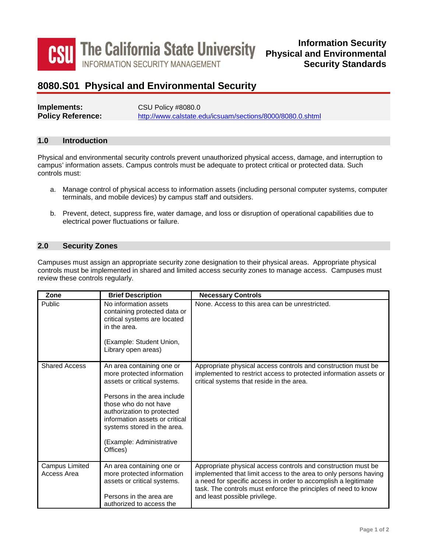

# **8080.S01 Physical and Environmental Security**

| Implements:              | CSU Policy #8080.0                                        |
|--------------------------|-----------------------------------------------------------|
| <b>Policy Reference:</b> | http://www.calstate.edu/icsuam/sections/8000/8080.0.shtml |

#### **1.0 Introduction**

Physical and environmental security controls prevent unauthorized physical access, damage, and interruption to campus' information assets. Campus controls must be adequate to protect critical or protected data. Such controls must:

- a. Manage control of physical access to information assets (including personal computer systems, computer terminals, and mobile devices) by campus staff and outsiders.
- b. Prevent, detect, suppress fire, water damage, and loss or disruption of operational capabilities due to electrical power fluctuations or failure.

## **2.0 Security Zones**

Campuses must assign an appropriate security zone designation to their physical areas. Appropriate physical controls must be implemented in shared and limited access security zones to manage access. Campuses must review these controls regularly.

| Zone                          | <b>Brief Description</b>                                                                                                                                                                                                                                                              | <b>Necessary Controls</b>                                                                                                                                                                                                                                                                              |
|-------------------------------|---------------------------------------------------------------------------------------------------------------------------------------------------------------------------------------------------------------------------------------------------------------------------------------|--------------------------------------------------------------------------------------------------------------------------------------------------------------------------------------------------------------------------------------------------------------------------------------------------------|
| Public                        | No information assets<br>containing protected data or<br>critical systems are located<br>in the area.<br>(Example: Student Union,<br>Library open areas)                                                                                                                              | None. Access to this area can be unrestricted.                                                                                                                                                                                                                                                         |
| <b>Shared Access</b>          | An area containing one or<br>more protected information<br>assets or critical systems.<br>Persons in the area include<br>those who do not have<br>authorization to protected<br>information assets or critical<br>systems stored in the area.<br>(Example: Administrative<br>Offices) | Appropriate physical access controls and construction must be<br>implemented to restrict access to protected information assets or<br>critical systems that reside in the area.                                                                                                                        |
| Campus Limited<br>Access Area | An area containing one or<br>more protected information<br>assets or critical systems.<br>Persons in the area are<br>authorized to access the                                                                                                                                         | Appropriate physical access controls and construction must be<br>implemented that limit access to the area to only persons having<br>a need for specific access in order to accomplish a legitimate<br>task. The controls must enforce the principles of need to know<br>and least possible privilege. |